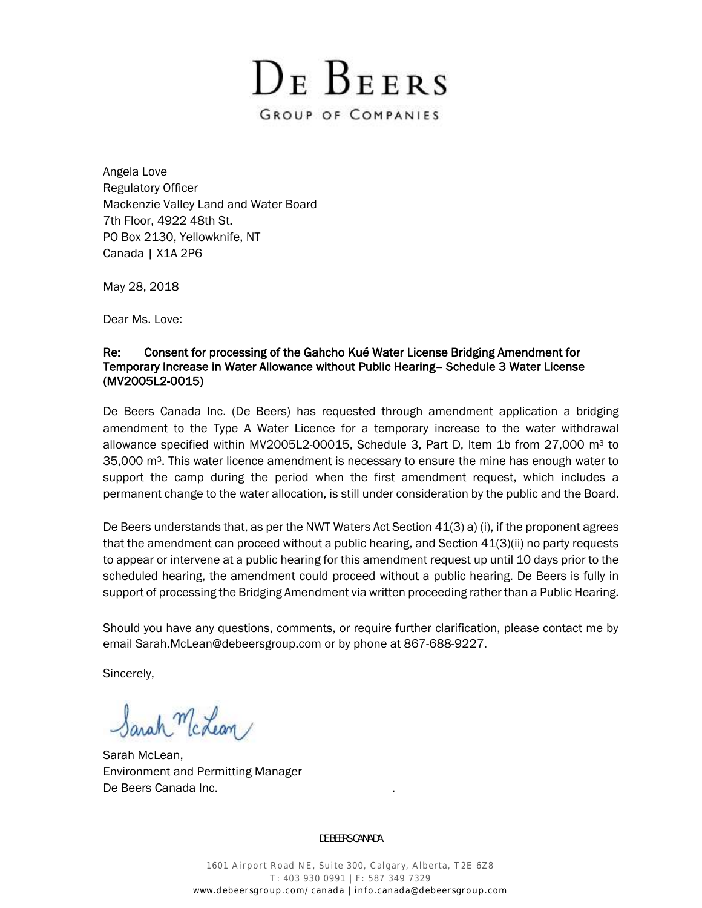DE BEERS GROUP OF COMPANIES

Angela Love Regulatory Officer Mackenzie Valley Land and Water Board 7th Floor, 4922 48th St. PO Box 2130, Yellowknife, NT Canada | X1A 2P6

May 28, 2018

Dear Ms. Love:

## Re: Consent for processing of the Gahcho Kué Water License Bridging Amendment for Temporary Increase in Water Allowance without Public Hearing– Schedule 3 Water License (MV2005L2-0015)

De Beers Canada Inc. (De Beers) has requested through amendment application a bridging amendment to the Type A Water Licence for a temporary increase to the water withdrawal allowance specified within MV2005L2-00015, Schedule 3, Part D, Item 1b from 27,000  $m<sup>3</sup>$  to  $35,000$  m<sup>3</sup>. This water licence amendment is necessary to ensure the mine has enough water to support the camp during the period when the first amendment request, which includes a permanent change to the water allocation, is still under consideration by the public and the Board.

De Beers understands that, as per the NWT Waters Act Section 41(3) a) (i), if the proponent agrees that the amendment can proceed without a public hearing, and Section 41(3)(ii) no party requests to appear or intervene at a public hearing for this amendment request up until 10 days prior to the scheduled hearing, the amendment could proceed without a public hearing. De Beers is fully in support of processing the Bridging Amendment via written proceeding rather than a Public Hearing.

Should you have any questions, comments, or require further clarification, please contact me by email [Sarah.McLean@debeersgroup.com](mailto:Sarah.McLean@debeersgroup.com) or by phone at 867-688-9227.

Sincerely,

Sarah McLean

Sarah McLean, Environment and Permitting Manager De Beers Canada Inc. .

DE BEERS CANADA

1601 Airport Road NE, Suite 300, Calgary, Alberta, T2E 6Z8 T: 403 930 0991 | F: 587 349 7329 [www.debeersgroup.com/canada](http://www.debeersgroup.com/canada) | [info.canada@debeersgroup.com](mailto:info.canada@debeersgroup.com)